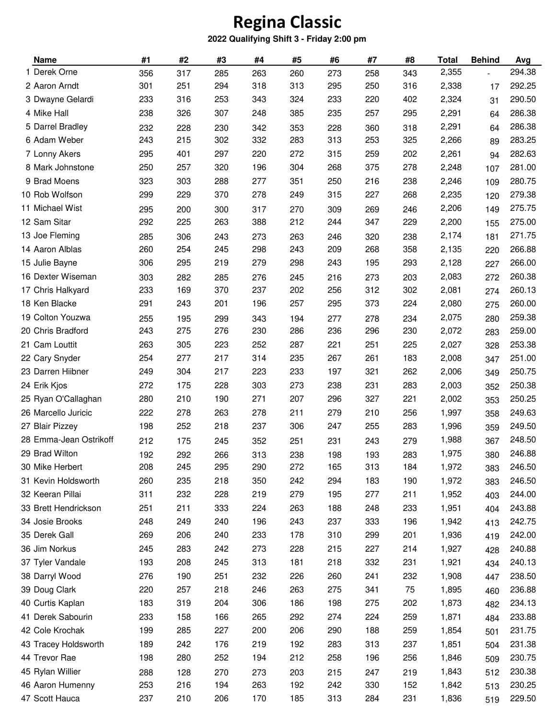## **Regina Classic**

## **2022 Qualifying Shift 3 - Friday 2:00 pm**

| <b>Name</b>            | #1  | #2  | #3  | #4  | #5  | #6  | #7  | #8  | <b>Total</b> | <b>Behind</b> | Avg    |
|------------------------|-----|-----|-----|-----|-----|-----|-----|-----|--------------|---------------|--------|
| 1 Derek Orne           | 356 | 317 | 285 | 263 | 260 | 273 | 258 | 343 | 2,355        |               | 294.38 |
| 2 Aaron Arndt          | 301 | 251 | 294 | 318 | 313 | 295 | 250 | 316 | 2,338        | 17            | 292.25 |
| 3 Dwayne Gelardi       | 233 | 316 | 253 | 343 | 324 | 233 | 220 | 402 | 2,324        | 31            | 290.50 |
| 4 Mike Hall            | 238 | 326 | 307 | 248 | 385 | 235 | 257 | 295 | 2,291        | 64            | 286.38 |
| 5 Darrel Bradley       | 232 | 228 | 230 | 342 | 353 | 228 | 360 | 318 | 2,291        | 64            | 286.38 |
| 6 Adam Weber           | 243 | 215 | 302 | 332 | 283 | 313 | 253 | 325 | 2,266        | 89            | 283.25 |
| 7 Lonny Akers          | 295 | 401 | 297 | 220 | 272 | 315 | 259 | 202 | 2,261        | 94            | 282.63 |
| 8 Mark Johnstone       | 250 | 257 | 320 | 196 | 304 | 268 | 375 | 278 | 2,248        | 107           | 281.00 |
| 9 Brad Moens           | 323 | 303 | 288 | 277 | 351 | 250 | 216 | 238 | 2,246        | 109           | 280.75 |
| 10 Rob Wolfson         | 299 | 229 | 370 | 278 | 249 | 315 | 227 | 268 | 2,235        | 120           | 279.38 |
| 11 Michael Wist        | 295 | 200 | 300 | 317 | 270 | 309 | 269 | 246 | 2,206        | 149           | 275.75 |
| 12 Sam Sitar           | 292 | 225 | 263 | 388 | 212 | 244 | 347 | 229 | 2,200        | 155           | 275.00 |
| 13 Joe Fleming         | 285 | 306 | 243 | 273 | 263 | 246 | 320 | 238 | 2,174        | 181           | 271.75 |
| 14 Aaron Alblas        | 260 | 254 | 245 | 298 | 243 | 209 | 268 | 358 | 2,135        | 220           | 266.88 |
| 15 Julie Bayne         | 306 | 295 | 219 | 279 | 298 | 243 | 195 | 293 | 2,128        | 227           | 266.00 |
| 16 Dexter Wiseman      | 303 | 282 | 285 | 276 | 245 | 216 | 273 | 203 | 2,083        | 272           | 260.38 |
| 17 Chris Halkyard      | 233 | 169 | 370 | 237 | 202 | 256 | 312 | 302 | 2,081        | 274           | 260.13 |
| 18 Ken Blacke          | 291 | 243 | 201 | 196 | 257 | 295 | 373 | 224 | 2,080        | 275           | 260.00 |
| 19 Colton Youzwa       | 255 | 195 | 299 | 343 | 194 | 277 | 278 | 234 | 2,075        | 280           | 259.38 |
| 20 Chris Bradford      | 243 | 275 | 276 | 230 | 286 | 236 | 296 | 230 | 2,072        | 283           | 259.00 |
| 21 Cam Louttit         | 263 | 305 | 223 | 252 | 287 | 221 | 251 | 225 | 2,027        | 328           | 253.38 |
| 22 Cary Snyder         | 254 | 277 | 217 | 314 | 235 | 267 | 261 | 183 | 2,008        | 347           | 251.00 |
| 23 Darren Hiibner      | 249 | 304 | 217 | 223 | 233 | 197 | 321 | 262 | 2,006        | 349           | 250.75 |
| 24 Erik Kjos           | 272 | 175 | 228 | 303 | 273 | 238 | 231 | 283 | 2,003        | 352           | 250.38 |
| 25 Ryan O'Callaghan    | 280 | 210 | 190 | 271 | 207 | 296 | 327 | 221 | 2,002        | 353           | 250.25 |
| 26 Marcello Juricic    | 222 | 278 | 263 | 278 | 211 | 279 | 210 | 256 | 1,997        | 358           | 249.63 |
| 27 Blair Pizzey        | 198 | 252 | 218 | 237 | 306 | 247 | 255 | 283 | 1,996        | 359           | 249.50 |
| 28 Emma-Jean Ostrikoff | 212 | 175 | 245 | 352 | 251 | 231 | 243 | 279 | 1,988        | 367           | 248.50 |
| 29 Brad Wilton         | 192 | 292 | 266 | 313 | 238 | 198 | 193 | 283 | 1,975        | 380           | 246.88 |
| 30 Mike Herbert        | 208 | 245 | 295 | 290 | 272 | 165 | 313 | 184 | 1,972        | 383           | 246.50 |
| 31 Kevin Holdsworth    | 260 | 235 | 218 | 350 | 242 | 294 | 183 | 190 | 1,972        | 383           | 246.50 |
| 32 Keeran Pillai       | 311 | 232 | 228 | 219 | 279 | 195 | 277 | 211 | 1,952        | 403           | 244.00 |
| 33 Brett Hendrickson   | 251 | 211 | 333 | 224 | 263 | 188 | 248 | 233 | 1,951        | 404           | 243.88 |
| 34 Josie Brooks        | 248 | 249 | 240 | 196 | 243 | 237 | 333 | 196 | 1,942        | 413           | 242.75 |
| 35 Derek Gall          | 269 | 206 | 240 | 233 | 178 | 310 | 299 | 201 | 1,936        | 419           | 242.00 |
| 36 Jim Norkus          | 245 | 283 | 242 | 273 | 228 | 215 | 227 | 214 | 1,927        | 428           | 240.88 |
| 37 Tyler Vandale       | 193 | 208 | 245 | 313 | 181 | 218 | 332 | 231 | 1,921        | 434           | 240.13 |
| 38 Darryl Wood         | 276 | 190 | 251 | 232 | 226 | 260 | 241 | 232 | 1,908        | 447           | 238.50 |
| 39 Doug Clark          | 220 | 257 | 218 | 246 | 263 | 275 | 341 | 75  | 1,895        | 460           | 236.88 |
| 40 Curtis Kaplan       | 183 | 319 | 204 | 306 | 186 | 198 | 275 | 202 | 1,873        | 482           | 234.13 |
| 41 Derek Sabourin      | 233 | 158 | 166 | 265 | 292 | 274 | 224 | 259 | 1,871        | 484           | 233.88 |
| 42 Cole Krochak        | 199 | 285 | 227 | 200 | 206 | 290 | 188 | 259 | 1,854        | 501           | 231.75 |
| 43 Tracey Holdsworth   | 189 | 242 | 176 | 219 | 192 | 283 | 313 | 237 | 1,851        | 504           | 231.38 |
| 44 Trevor Rae          | 198 | 280 | 252 | 194 | 212 | 258 | 196 | 256 | 1,846        | 509           | 230.75 |
| 45 Rylan Willier       | 288 | 128 | 270 | 273 | 203 | 215 | 247 | 219 | 1,843        | 512           | 230.38 |
| 46 Aaron Humenny       | 253 | 216 | 194 | 263 | 192 | 242 | 330 | 152 | 1,842        | 513           | 230.25 |
| 47 Scott Hauca         | 237 | 210 | 206 | 170 | 185 | 313 | 284 | 231 | 1,836        | 519           | 229.50 |
|                        |     |     |     |     |     |     |     |     |              |               |        |